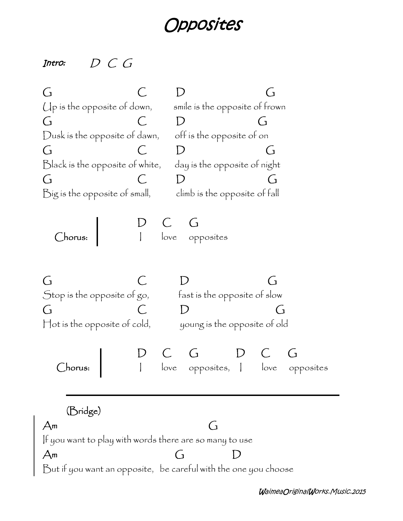## *Opposites*

## *Intro: D C G*

**G C D G** Up is the opposite of down, smile is the opposite of frown **G C D G** Dusk is the opposite of dawn, off is the opposite of on **G C D G** Black is the opposite of white, day is the opposite of night **G C D G** Big is the opposite of small, climb is the opposite of fall **D C G Chorus:** I love opposites **G C D G** Stop is the opposite of go, fast is the opposite of slow **G C D G** Hot is the opposite of cold, young is the opposite of old **D C G D C G Chorus:** I love opposites, I love opposites **(Bridge) Am G** If you want to play with words there are so many to use **Am G D** But if you want an opposite, be careful with the one you choose

*WaimeaOriginalWorks.Music.2015*